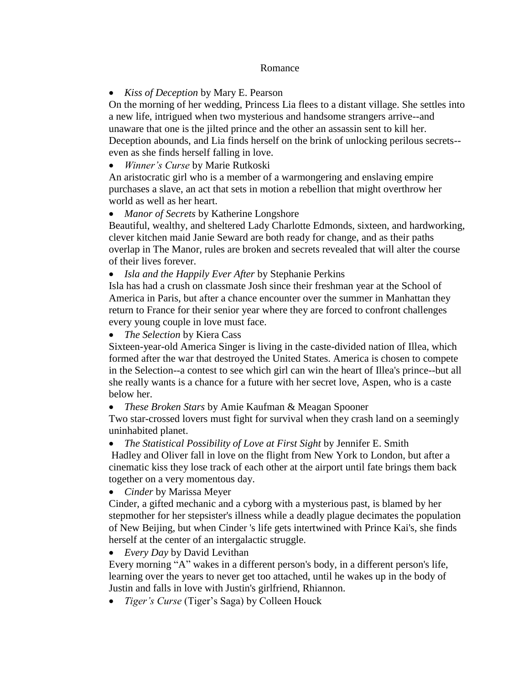## Romance

## *Kiss of Deception* by Mary E. Pearson

On the morning of her wedding, Princess Lia flees to a distant village. She settles into a new life, intrigued when two mysterious and handsome strangers arrive--and unaware that one is the jilted prince and the other an assassin sent to kill her. Deception abounds, and Lia finds herself on the brink of unlocking perilous secrets- even as she finds herself falling in love.

*Winner's Curse* by Marie Rutkoski

An aristocratic girl who is a member of a warmongering and enslaving empire purchases a slave, an act that sets in motion a rebellion that might overthrow her world as well as her heart.

*Manor of Secrets* by Katherine Longshore

Beautiful, wealthy, and sheltered Lady Charlotte Edmonds, sixteen, and hardworking, clever kitchen maid Janie Seward are both ready for change, and as their paths overlap in The Manor, rules are broken and secrets revealed that will alter the course of their lives forever.

*Isla and the Happily Ever After* by Stephanie Perkins

Isla has had a crush on classmate Josh since their freshman year at the School of America in Paris, but after a chance encounter over the summer in Manhattan they return to France for their senior year where they are forced to confront challenges every young couple in love must face.

*The Selection* by Kiera Cass

Sixteen-year-old America Singer is living in the caste-divided nation of Illea, which formed after the war that destroyed the United States. America is chosen to compete in the Selection--a contest to see which girl can win the heart of Illea's prince--but all she really wants is a chance for a future with her secret love, Aspen, who is a caste below her.

*These Broken Stars* by Amie Kaufman & Meagan Spooner

Two star-crossed lovers must fight for survival when they crash land on a seemingly uninhabited planet.

*The Statistical Possibility of Love at First Sight* by Jennifer E. Smith

Hadley and Oliver fall in love on the flight from New York to London, but after a cinematic kiss they lose track of each other at the airport until fate brings them back together on a very momentous day.

*Cinder* by Marissa Meyer

Cinder, a gifted mechanic and a cyborg with a mysterious past, is blamed by her stepmother for her stepsister's illness while a deadly plague decimates the population of New Beijing, but when Cinder 's life gets intertwined with Prince Kai's, she finds herself at the center of an intergalactic struggle.

*Every Day* by David Levithan

Every morning "A" wakes in a different person's body, in a different person's life, learning over the years to never get too attached, until he wakes up in the body of Justin and falls in love with Justin's girlfriend, Rhiannon.

*Tiger's Curse* (Tiger's Saga) by Colleen Houck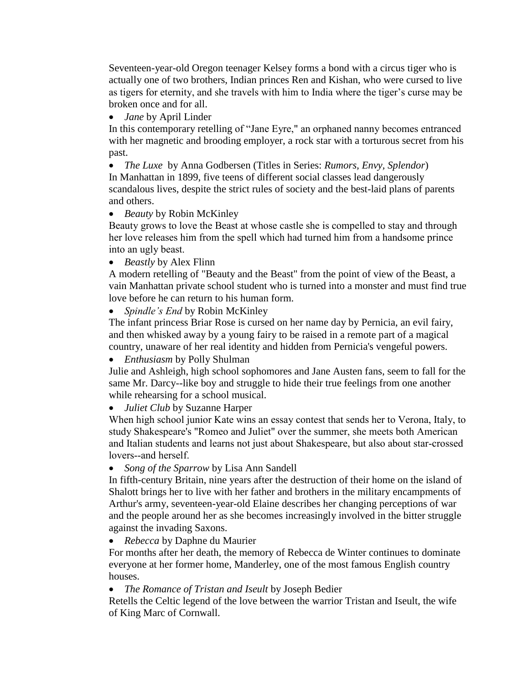Seventeen-year-old Oregon teenager Kelsey forms a bond with a circus tiger who is actually one of two brothers, Indian princes Ren and Kishan, who were cursed to live as tigers for eternity, and she travels with him to India where the tiger's curse may be broken once and for all.

*Jane* by April Linder

In this contemporary retelling of "Jane Eyre," an orphaned nanny becomes entranced with her magnetic and brooding employer, a rock star with a torturous secret from his past.

*The Luxe* by Anna Godbersen (Titles in Series: *Rumors, Envy, Splendor*)

In Manhattan in 1899, five teens of different social classes lead dangerously scandalous lives, despite the strict rules of society and the best-laid plans of parents and others.

*Beauty* by Robin McKinley

Beauty grows to love the Beast at whose castle she is compelled to stay and through her love releases him from the spell which had turned him from a handsome prince into an ugly beast.

*Beastly* by Alex Flinn

A modern retelling of "Beauty and the Beast" from the point of view of the Beast, a vain Manhattan private school student who is turned into a monster and must find true love before he can return to his human form.

*Spindle's End* by Robin McKinley

The infant princess Briar Rose is cursed on her name day by Pernicia, an evil fairy, and then whisked away by a young fairy to be raised in a remote part of a magical country, unaware of her real identity and hidden from Pernicia's vengeful powers.

*Enthusiasm* by Polly Shulman

Julie and Ashleigh, high school sophomores and Jane Austen fans, seem to fall for the same Mr. Darcy--like boy and struggle to hide their true feelings from one another while rehearsing for a school musical.

*Juliet Club* by Suzanne Harper

When high school junior Kate wins an essay contest that sends her to Verona, Italy, to study Shakespeare's "Romeo and Juliet" over the summer, she meets both American and Italian students and learns not just about Shakespeare, but also about star-crossed lovers--and herself.

*Song of the Sparrow* by Lisa Ann Sandell

In fifth-century Britain, nine years after the destruction of their home on the island of Shalott brings her to live with her father and brothers in the military encampments of Arthur's army, seventeen-year-old Elaine describes her changing perceptions of war and the people around her as she becomes increasingly involved in the bitter struggle against the invading Saxons.

*Rebecca* by Daphne du Maurier

For months after her death, the memory of Rebecca de Winter continues to dominate everyone at her former home, Manderley, one of the most famous English country houses.

*The Romance of Tristan and Iseult* by Joseph Bedier

Retells the Celtic legend of the love between the warrior Tristan and Iseult, the wife of King Marc of Cornwall.